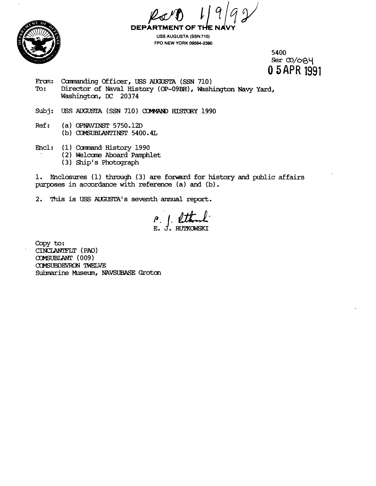**DEPART** MENT OF TI



**USS AUGUSTA (SSN 710) FPO NEW YORK 09584-2390** 

> 5400 Ser  $\omega$ /084 **0 5APR** 1991

- From: Commanding Officer, USS AUGUSTA (SSN 710)<br>To: Director of Naval History (OP-09BH), Wash Director of Naval History (OP-09BH), Washington Navy Yard, Washington, **DC** 20374
- Subj: USS AUGUSTA (SSN 710) COMMAND HISTORY 1990
- Ref: (a) OPNAVINST 5750.12D (b) COMSUBLANTINST 5400.4L
- Encl: (1) Command History 1990
	- (2) Welcome Aboard Pamphlet
		- **(3)** Ship's Photograph

1. Eaclosures (1) **through** (3) are forward for history and public affairs purposes **in** accordance **with reference** (a) and **(b).** 

2. This is USS AUGUSTA's seventh annual report.

**Copy to:**  CINCLANIFLT (PAO) COMSUBLANT (009) COMSUBDEVRON TWELVE Sulrnarine Museum, **NAVSUBASE Groton**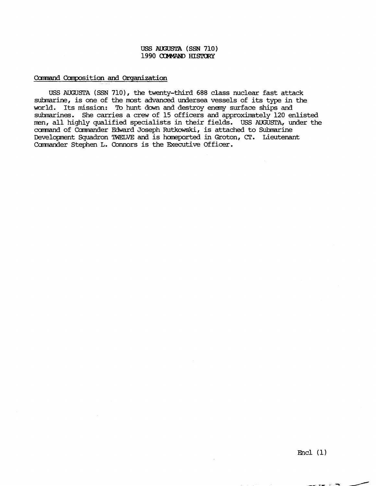## USS AUGUSTA (SSN 710) 1990 COMMAND HISTORY

## Carmana Canpositicm and **Organization**

USS AUGUSTA **(SSN** 710), the twenty-third 688 class nuclear fast attack sukmarine, is one of the most advanced undersea vessels of its type in the world. Its mission: To hunt down and destroy enemy surface ships and submarines. She carries a crew of 15 officers and approximately 120 enlisted men, all highly qualified specialists in their fields. **USS** AUGUSTA, under the command of Commander Edward Joseph Rutkowski, is attached to Submarine Deuelopnent Squadron TWELVE **and** is hameported in Groton, **CT.** Lieutenant Camander Stephen L. Connors is the **Executive** Officer.

i gestemat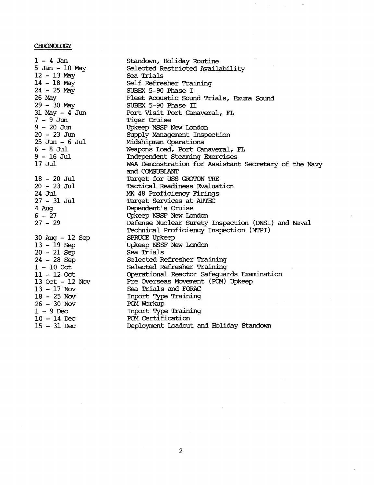## **CHRONOLOGY**

 $1 - 4$  Jan 5 Jan - 10 May  $12 - 13$  May <sup>14</sup>- 18 May  $24 - 25$  May 26 May  $29 - 30$  May 31 May - 4 Jun 7-9Jun <sup>9</sup>- 20 Jun <sup>20</sup>- 23 Jun 25 Jun - 6 Jul <sup>6</sup>- 8 Jul  $9 - 16$  Jul 17 Jul <sup>18</sup>- 20 Jul <sup>20</sup>- 23 Jul 24 Jul <sup>27</sup>- 31 Jul 4 Aug  $6 - 27$  $27 - 29$ 30 Aug - 12 Sep <sup>13</sup>- 19 Sep  $20 - 21$  Sep <sup>24</sup>- 28 Sep  $1 - 100c$ t 11 - <sup>12</sup>*Oct*  **<sup>13</sup>**O& - <sup>12</sup>*NOV*  <sup>13</sup>- <sup>17</sup>**NOV**  <sup>18</sup>- <sup>25</sup>*Nw*  <sup>26</sup>- <sup>30</sup>**NOV**   $1 - 9$  Dec <sup>10</sup>- 14 **Dec**  <sup>15</sup>- <sup>31</sup>**Dec** 

Standown, Holiday Routine Selected Restricted Availability *Sea* Trials Self Refresher Training SUBEX 5-90 Phase I Fleet Acoustic Sound Trials, Exuma Sound SUBEX 5-90 Phase II Port Visit Port Canaveral, FL Tiger Cruise Upkeep NSSF New Iondon Supply Management Inspection Midshipan Operations Weapans Load, Port Canaveral, **F'L**  Independent Steaming Ekercises **MAA** Damstration for Assistant Secretary of the Navy and COMSUBLANT Target for USS GROTON TRE Tactical Readiness Evaluation **MK** 48 Proficiency Firings Target Services at AUTEC Dependent's Cruise Upkeep NSSF **New** Iondon Defense Nuclear Surety Inspection (DNSI) and Naval Technical Proficiency Inspection (NTPI) SPRUCE Upkeep Upkeep **NSSF** New Iondon Sea Trials Selected Refresher Training Selected Refresher Training Operational Reactor Safeguards Examination Pre Overseas Movement (PCM) Upkeep Sea Trials and FORAC Inport Training POM Workup Inport Type Training POM Certification Deployment Loadout and Holiday Standown